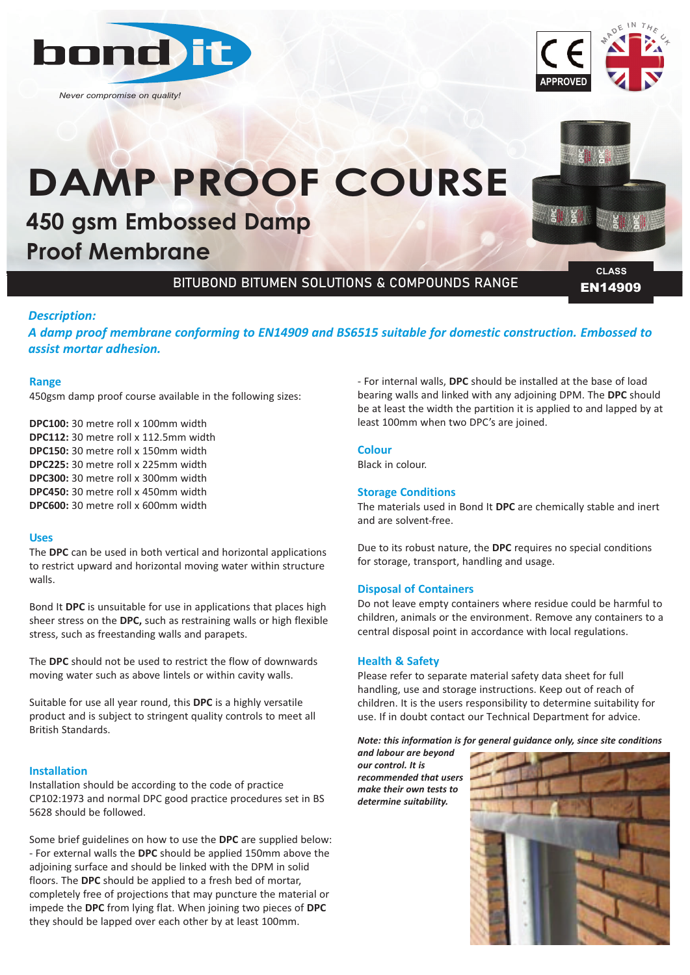

*Never compromise on quality!*



# **DAMP PROOF COURSE**

# **450 gsm Embossed Damp Proof Membrane**

### BITUBOND BITUMEN SOLUTIONS & COMPOUNDS RANGE

EN14909 **CLASS**

#### *Description:*

*A damp proof membrane conforming to EN14909 and BS6515 suitable for domestic construction. Embossed to assist mortar adhesion.*

#### **Range**

450gsm damp proof course available in the following sizes:

**DPC100:** 30 metre roll x 100mm width **DPC112:** 30 metre roll x 112.5mm width **DPC150:** 30 metre roll x 150mm width **DPC225:** 30 metre roll x 225mm width **DPC300:** 30 metre roll x 300mm width **DPC450:** 30 metre roll x 450mm width **DPC600:** 30 metre roll x 600mm width

#### **Uses**

The **DPC** can be used in both vertical and horizontal applications to restrict upward and horizontal moving water within structure walls.

Bond It **DPC** is unsuitable for use in applications that places high sheer stress on the **DPC,** such as restraining walls or high flexible stress, such as freestanding walls and parapets.

The **DPC** should not be used to restrict the flow of downwards moving water such as above lintels or within cavity walls.

Suitable for use all year round, this **DPC** is a highly versatile product and is subject to stringent quality controls to meet all British Standards.

#### **Installation**

Installation should be according to the code of practice CP102:1973 and normal DPC good practice procedures set in BS 5628 should be followed.

Some brief guidelines on how to use the **DPC** are supplied below: - For external walls the **DPC** should be applied 150mm above the adjoining surface and should be linked with the DPM in solid floors. The **DPC** should be applied to a fresh bed of mortar, completely free of projections that may puncture the material or impede the **DPC** from lying flat. When joining two pieces of **DPC** they should be lapped over each other by at least 100mm.

- For internal walls, **DPC** should be installed at the base of load bearing walls and linked with any adjoining DPM. The **DPC** should be at least the width the partition it is applied to and lapped by at least 100mm when two DPC's are joined.

#### **Colour**

Black in colour.

#### **Storage Conditions**

The materials used in Bond It **DPC** are chemically stable and inert and are solvent-free.

Due to its robust nature, the **DPC** requires no special conditions for storage, transport, handling and usage.

#### **Disposal of Containers**

Do not leave empty containers where residue could be harmful to children, animals or the environment. Remove any containers to a central disposal point in accordance with local regulations.

#### **Health & Safety**

Please refer to separate material safety data sheet for full handling, use and storage instructions. Keep out of reach of children. It is the users responsibility to determine suitability for use. If in doubt contact our Technical Department for advice.

*Note: this information is for general guidance only, since site conditions*

*and labour are beyond our control. It is recommended that users make their own tests to determine suitability.*